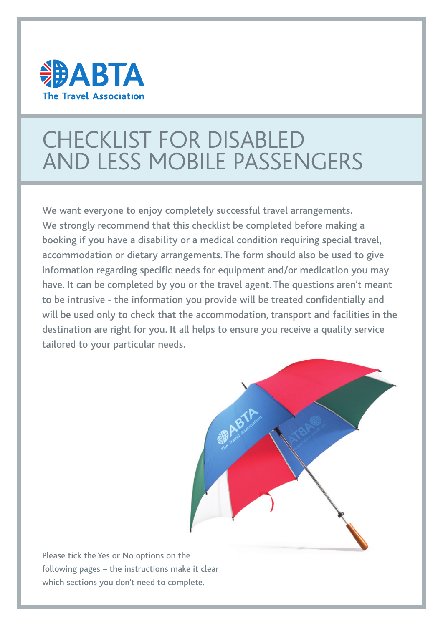

# CHECKLIST FOR DISABLED AND LESS MOBILE PASSENGERS

We want everyone to enjoy completely successful travel arrangements. We strongly recommend that this checklist be completed before making a booking if you have a disability or a medical condition requiring special travel, accommodation or dietary arrangements. The form should also be used to give information regarding specific needs for equipment and/or medication you may have. It can be completed by you or the travel agent. The questions aren't meant to be intrusive - the information you provide will be treated confidentially and will be used only to check that the accommodation, transport and facilities in the destination are right for you. It all helps to ensure you receive a quality service tailored to your particular needs.



Please tick the Yes or No options on the following pages – the instructions make it clear which sections you don't need to complete.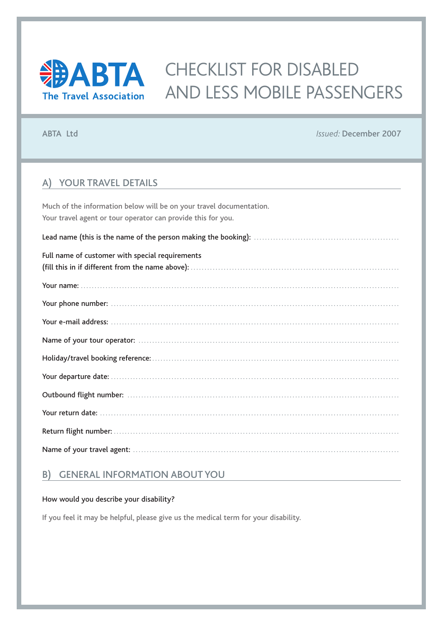

## **EDABTA** CHECKLIST FOR DISABLED AND LESS MOBILE PASSENGERS

ABTA Ltd *Issued:* December 2007

## A) YOUR TRAVEL DETAILS

Much of the information below will be on your travel documentation. Your travel agent or tour operator can provide this for you.

Lead name (this is the name of the person making the booking): . . . . . . . . . . . . . . . . . . . . . . . . . . . . . . . . . . . . . . . . . . . . . . . . . . . . .

| Full name of customer with special requirements |
|-------------------------------------------------|
|                                                 |
|                                                 |
|                                                 |
|                                                 |
|                                                 |
|                                                 |
|                                                 |
|                                                 |
|                                                 |
|                                                 |
|                                                 |

## B) GENERAL INFORMATION ABOUT YOU

#### How would you describe your disability?

If you feel it may be helpful, please give us the medical term for your disability.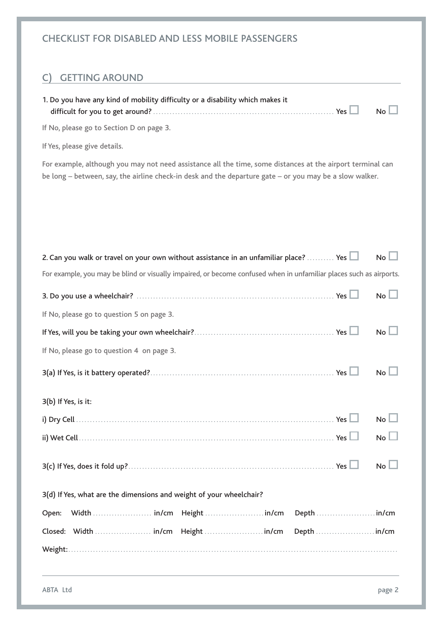| <b>CHECKLIST FOR DISABLED AND LESS MOBILE PASSENGERS</b>                                                                                                                                                              |  |  |  |  |
|-----------------------------------------------------------------------------------------------------------------------------------------------------------------------------------------------------------------------|--|--|--|--|
| <b>GETTING AROUND</b>                                                                                                                                                                                                 |  |  |  |  |
| 1. Do you have any kind of mobility difficulty or a disability which makes it<br>No                                                                                                                                   |  |  |  |  |
| If No, please go to Section D on page 3.                                                                                                                                                                              |  |  |  |  |
| If Yes, please give details.                                                                                                                                                                                          |  |  |  |  |
| For example, although you may not need assistance all the time, some distances at the airport terminal can<br>be long – between, say, the airline check-in desk and the departure gate – or you may be a slow walker. |  |  |  |  |
|                                                                                                                                                                                                                       |  |  |  |  |
|                                                                                                                                                                                                                       |  |  |  |  |
| 2. Can you walk or travel on your own without assistance in an unfamiliar place?  Yes<br>$No$ $\Box$                                                                                                                  |  |  |  |  |
| For example, you may be blind or visually impaired, or become confused when in unfamiliar places such as airports.                                                                                                    |  |  |  |  |
| No L                                                                                                                                                                                                                  |  |  |  |  |
| If No, please go to question 5 on page 3.                                                                                                                                                                             |  |  |  |  |
| <b>No</b>                                                                                                                                                                                                             |  |  |  |  |
| If No, please go to question 4 on page 3.                                                                                                                                                                             |  |  |  |  |
| <b>No</b>                                                                                                                                                                                                             |  |  |  |  |
| 3(b) If Yes, is it:                                                                                                                                                                                                   |  |  |  |  |
| $No$ $\Box$                                                                                                                                                                                                           |  |  |  |  |
| $No$ $\Box$                                                                                                                                                                                                           |  |  |  |  |
| $No$ $\Box$                                                                                                                                                                                                           |  |  |  |  |
| 3(d) If Yes, what are the dimensions and weight of your wheelchair?                                                                                                                                                   |  |  |  |  |
| Open:                                                                                                                                                                                                                 |  |  |  |  |
|                                                                                                                                                                                                                       |  |  |  |  |
|                                                                                                                                                                                                                       |  |  |  |  |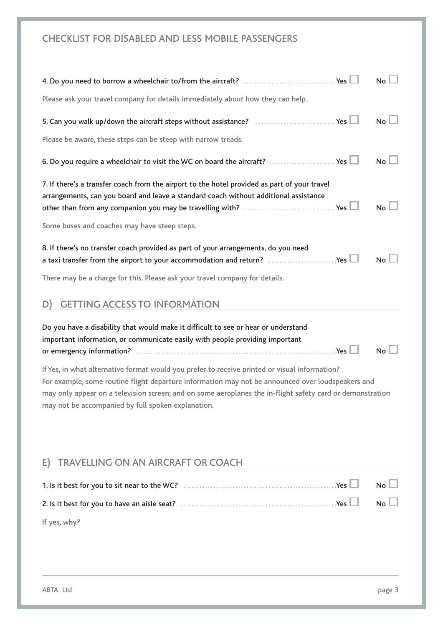| <b>CHECKLIST FOR DISABLED AND LESS MOBILE PASSENGERS</b>                                                                                                                                                                                                                                                                                                              |  |  |  |  |
|-----------------------------------------------------------------------------------------------------------------------------------------------------------------------------------------------------------------------------------------------------------------------------------------------------------------------------------------------------------------------|--|--|--|--|
| No <sub>l</sub>                                                                                                                                                                                                                                                                                                                                                       |  |  |  |  |
| Please ask your travel company for details immediately about how they can help.                                                                                                                                                                                                                                                                                       |  |  |  |  |
| No <sub>l</sub><br>5. Can you walk up/down the aircraft steps without assistance? Yes LI                                                                                                                                                                                                                                                                              |  |  |  |  |
| Please be aware, these steps can be steep with narrow treads.                                                                                                                                                                                                                                                                                                         |  |  |  |  |
| No <sub>l</sub><br>6. Do you require a wheelchair to visit the WC on board the aircraft?  Yes $\Box$                                                                                                                                                                                                                                                                  |  |  |  |  |
| 7. If there's a transfer coach from the airport to the hotel provided as part of your travel<br>arrangements, can you board and leave a standard coach without additional assistance<br>No <sub>l</sub>                                                                                                                                                               |  |  |  |  |
| Some buses and coaches may have steep steps.                                                                                                                                                                                                                                                                                                                          |  |  |  |  |
| 8. If there's no transfer coach provided as part of your arrangements, do you need<br>a taxi transfer from the airport to your accommodation and return? $\ldots$ Yes $\Box$<br>No <sub>1</sub>                                                                                                                                                                       |  |  |  |  |
| There may be a charge for this. Please ask your travel company for details.                                                                                                                                                                                                                                                                                           |  |  |  |  |
| <b>GETTING ACCESS TO INFORMATION</b>                                                                                                                                                                                                                                                                                                                                  |  |  |  |  |
| Do you have a disability that would make it difficult to see or hear or understand<br>important information, or communicate easily with people providing important<br><b>No</b>                                                                                                                                                                                       |  |  |  |  |
| If Yes, in what alternative format would you prefer to receive printed or visual information?<br>For example, some routine flight departure information may not be announced over loudspeakers and<br>may only appear on a television screen; and on some aeroplanes the in-flight safety card or demonstration<br>may not be accompanied by full spoken explanation. |  |  |  |  |
| <b>TRAVELLING ON AN AIRCRAFT OR COACH</b><br>E)                                                                                                                                                                                                                                                                                                                       |  |  |  |  |
| No                                                                                                                                                                                                                                                                                                                                                                    |  |  |  |  |
| No <sub>l</sub>                                                                                                                                                                                                                                                                                                                                                       |  |  |  |  |
| If yes, why?                                                                                                                                                                                                                                                                                                                                                          |  |  |  |  |
|                                                                                                                                                                                                                                                                                                                                                                       |  |  |  |  |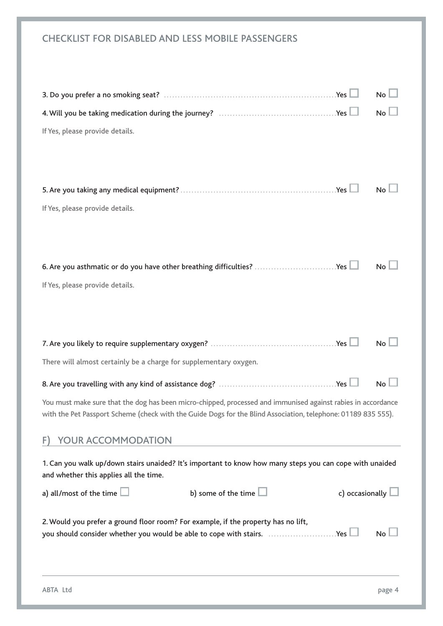| <b>CHECKLIST FOR DISABLED AND LESS MOBILE PASSENGERS</b>                                                                                                                                                                      |  |  |  |  |
|-------------------------------------------------------------------------------------------------------------------------------------------------------------------------------------------------------------------------------|--|--|--|--|
| <b>No</b><br>No<br>If Yes, please provide details.                                                                                                                                                                            |  |  |  |  |
| <b>No</b><br>If Yes, please provide details.                                                                                                                                                                                  |  |  |  |  |
| 6. Are you asthmatic or do you have other breathing difficulties? Yes<br>No <sub>1</sub><br>If Yes, please provide details.                                                                                                   |  |  |  |  |
| <b>No</b><br>There will almost certainly be a charge for supplementary oxygen.                                                                                                                                                |  |  |  |  |
| No                                                                                                                                                                                                                            |  |  |  |  |
| You must make sure that the dog has been micro-chipped, processed and immunised against rabies in accordance<br>with the Pet Passport Scheme (check with the Guide Dogs for the Blind Association, telephone: 01189 835 555). |  |  |  |  |
| <b>YOUR ACCOMMODATION</b><br>F)                                                                                                                                                                                               |  |  |  |  |
| 1. Can you walk up/down stairs unaided? It's important to know how many steps you can cope with unaided<br>and whether this applies all the time.                                                                             |  |  |  |  |
| b) some of the time $\Box$<br>c) occasionally $\Box$<br>a) all/most of the time $\Box$                                                                                                                                        |  |  |  |  |
| 2. Would you prefer a ground floor room? For example, if the property has no lift,<br>you should consider whether you would be able to cope with stairs. Yes<br><b>No</b>                                                     |  |  |  |  |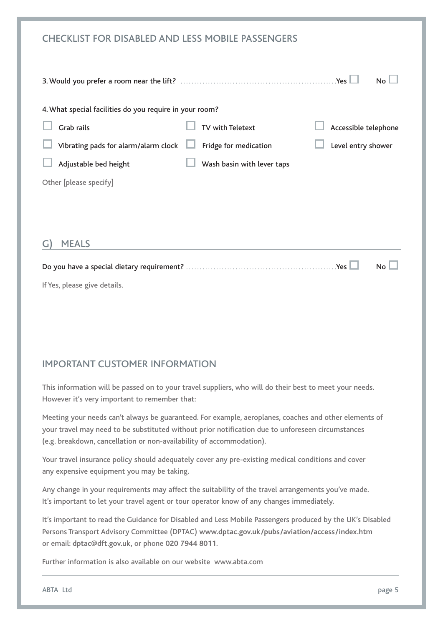| <b>CHECKLIST FOR DISABLED AND LESS MOBILE PASSENGERS</b> |                            |                      |
|----------------------------------------------------------|----------------------------|----------------------|
|                                                          |                            | <b>No</b>            |
| 4. What special facilities do you require in your room?  |                            |                      |
| <b>Grab rails</b>                                        | <b>TV with Teletext</b>    | Accessible telephone |
| Vibrating pads for alarm/alarm clock                     | Fridge for medication      | Level entry shower   |
| Adjustable bed height                                    | Wash basin with lever taps |                      |
| Other [please specify]                                   |                            |                      |
|                                                          |                            |                      |
|                                                          |                            |                      |
| <b>MEALS</b><br>G                                        |                            |                      |
|                                                          |                            | <b>No</b>            |
| If Yes, please give details.                             |                            |                      |

## IMPORTANT CUSTOMER INFORMATION

This information will be passed on to your travel suppliers, who will do their best to meet your needs. However it's very important to remember that:

Meeting your needs can't always be guaranteed. For example, aeroplanes, coaches and other elements of your travel may need to be substituted without prior notification due to unforeseen circumstances (e.g. breakdown, cancellation or non-availability of accommodation).

Your travel insurance policy should adequately cover any pre-existing medical conditions and cover any expensive equipment you may be taking.

Any change in your requirements may affect the suitability of the travel arrangements you've made. It's important to let your travel agent or tour operator know of any changes immediately.

It's important to read the Guidance for Disabled and Less Mobile Passengers produced by the UK's Disabled Persons Transport Advisory Committee (DPTAC) **www.dptac.gov.uk/pubs/aviation/access/index.htm** or email: **dptac@dft.gov.uk,** or phone **020 7944 8011**.

Further information is also available on our website www.abta.com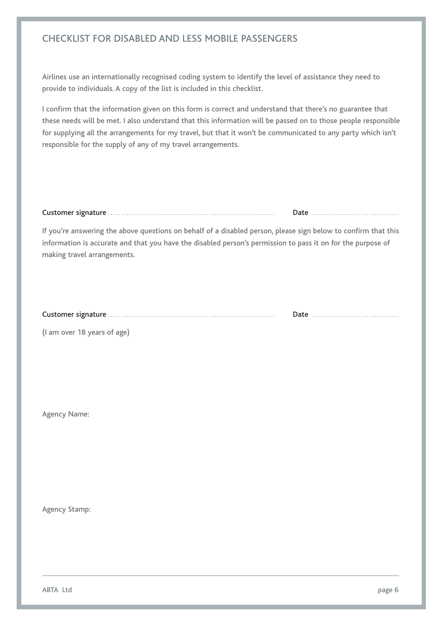## CHECKLIST FOR DISABLED AND LESS MOBILE PASSENGERS

Airlines use an internationally recognised coding system to identify the level of assistance they need to provide to individuals. A copy of the list is included in this checklist.

I confirm that the information given on this form is correct and understand that there's no guarantee that these needs will be met. I also understand that this information will be passed on to those people responsible for supplying all the arrangements for my travel, but that it won't be communicated to any party which isn't responsible for the supply of any of my travel arrangements.

|  | Date |
|--|------|
|--|------|

If you're answering the above questions on behalf of a disabled person, please sign below to confirm that this information is accurate and that you have the disabled person's permission to pass it on for the purpose of making travel arrangements.

|  | Date |
|--|------|
|--|------|

(I am over 18 years of age)

Agency Name:

Agency Stamp: